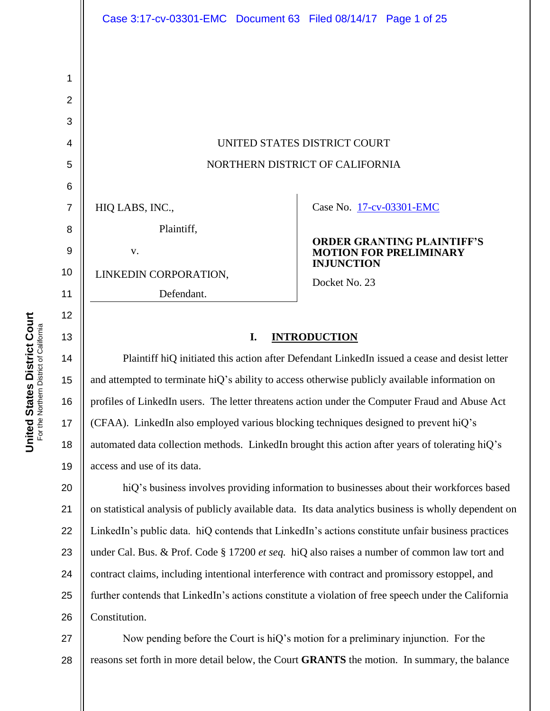|                     | Case 3:17-cv-03301-EMC Document 63 Filed 08/14/17 Page 1 of 25 |  |                                    |                               |
|---------------------|----------------------------------------------------------------|--|------------------------------------|-------------------------------|
| 1<br>$\overline{2}$ |                                                                |  |                                    |                               |
| 3                   |                                                                |  |                                    |                               |
| $\overline{4}$      | UNITED STATES DISTRICT COURT                                   |  |                                    |                               |
| 5                   | NORTHERN DISTRICT OF CALIFORNIA                                |  |                                    |                               |
| $6\phantom{1}6$     |                                                                |  |                                    |                               |
| $\overline{7}$      | HIQ LABS, INC.,                                                |  | Case No. 17-cv-03301-EMC           |                               |
| 8                   | Plaintiff,                                                     |  | <b>ORDER GRANTING PLAINTIFF'S</b>  |                               |
| 9                   | V.                                                             |  |                                    | <b>MOTION FOR PRELIMINARY</b> |
| 10                  | LINKEDIN CORPORATION,                                          |  | <b>INJUNCTION</b><br>Docket No. 23 |                               |
| 11                  | Defendant.                                                     |  |                                    |                               |
| 12                  |                                                                |  |                                    |                               |

## **I. INTRODUCTION**

Plaintiff hiQ initiated this action after Defendant LinkedIn issued a cease and desist letter and attempted to terminate hiQ"s ability to access otherwise publicly available information on profiles of LinkedIn users. The letter threatens action under the Computer Fraud and Abuse Act (CFAA). LinkedIn also employed various blocking techniques designed to prevent hiQ"s automated data collection methods. LinkedIn brought this action after years of tolerating hiQ"s access and use of its data.

20 21 22 23 24 25 26 hiQ's business involves providing information to businesses about their workforces based on statistical analysis of publicly available data. Its data analytics business is wholly dependent on LinkedIn"s public data. hiQ contends that LinkedIn"s actions constitute unfair business practices under Cal. Bus. & Prof. Code § 17200 *et seq.* hiQ also raises a number of common law tort and contract claims, including intentional interference with contract and promissory estoppel, and further contends that LinkedIn's actions constitute a violation of free speech under the California Constitution.

27 28 Now pending before the Court is hiQ"s motion for a preliminary injunction. For the reasons set forth in more detail below, the Court **GRANTS** the motion. In summary, the balance

13

14

15

16

17

18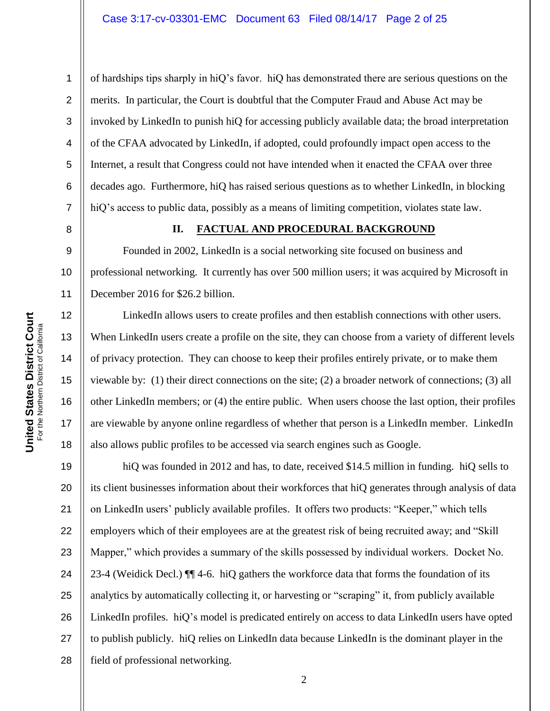of hardships tips sharply in hiQ"s favor. hiQ has demonstrated there are serious questions on the merits. In particular, the Court is doubtful that the Computer Fraud and Abuse Act may be invoked by LinkedIn to punish hiQ for accessing publicly available data; the broad interpretation of the CFAA advocated by LinkedIn, if adopted, could profoundly impact open access to the Internet, a result that Congress could not have intended when it enacted the CFAA over three decades ago. Furthermore, hiQ has raised serious questions as to whether LinkedIn, in blocking hiQ's access to public data, possibly as a means of limiting competition, violates state law.

## **II. FACTUAL AND PROCEDURAL BACKGROUND**

10 Founded in 2002, LinkedIn is a social networking site focused on business and professional networking. It currently has over 500 million users; it was acquired by Microsoft in December 2016 for \$26.2 billion.

LinkedIn allows users to create profiles and then establish connections with other users. When LinkedIn users create a profile on the site, they can choose from a variety of different levels of privacy protection. They can choose to keep their profiles entirely private, or to make them viewable by: (1) their direct connections on the site; (2) a broader network of connections; (3) all other LinkedIn members; or (4) the entire public. When users choose the last option, their profiles are viewable by anyone online regardless of whether that person is a LinkedIn member. LinkedIn also allows public profiles to be accessed via search engines such as Google.

19 20 21 22 23 24 25 26 27 28 hiQ was founded in 2012 and has, to date, received \$14.5 million in funding. hiQ sells to its client businesses information about their workforces that hiQ generates through analysis of data on LinkedIn users" publicly available profiles. It offers two products: "Keeper," which tells employers which of their employees are at the greatest risk of being recruited away; and "Skill Mapper," which provides a summary of the skills possessed by individual workers. Docket No. 23-4 (Weidick Decl.) ¶¶ 4-6. hiQ gathers the workforce data that forms the foundation of its analytics by automatically collecting it, or harvesting or "scraping" it, from publicly available LinkedIn profiles. hiQ"s model is predicated entirely on access to data LinkedIn users have opted to publish publicly. hiQ relies on LinkedIn data because LinkedIn is the dominant player in the field of professional networking.

1

2

3

4

5

6

7

8

9

11

12

13

14

15

16

17

18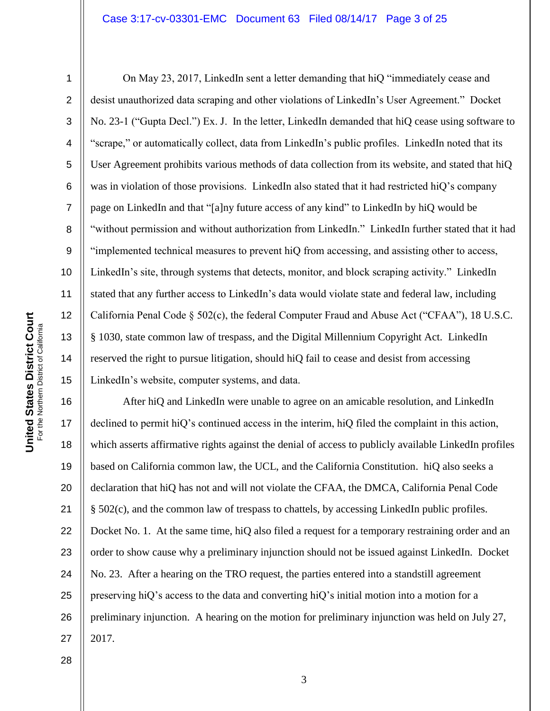#### Case 3:17-cv-03301-EMC Document 63 Filed 08/14/17 Page 3 of 25

1

2

3

4

5

6

7

8

9

10

11

12

13

14

15

On May 23, 2017, LinkedIn sent a letter demanding that hiQ "immediately cease and desist unauthorized data scraping and other violations of LinkedIn"s User Agreement." Docket No. 23-1 ("Gupta Decl.") Ex. J. In the letter, LinkedIn demanded that hiQ cease using software to "scrape," or automatically collect, data from LinkedIn"s public profiles. LinkedIn noted that its User Agreement prohibits various methods of data collection from its website, and stated that hiQ was in violation of those provisions. LinkedIn also stated that it had restricted hiQ's company page on LinkedIn and that "[a]ny future access of any kind" to LinkedIn by hiQ would be "without permission and without authorization from LinkedIn." LinkedIn further stated that it had "implemented technical measures to prevent hiQ from accessing, and assisting other to access, LinkedIn's site, through systems that detects, monitor, and block scraping activity." LinkedIn stated that any further access to LinkedIn"s data would violate state and federal law, including California Penal Code § 502(c), the federal Computer Fraud and Abuse Act ("CFAA"), 18 U.S.C. § 1030, state common law of trespass, and the Digital Millennium Copyright Act. LinkedIn reserved the right to pursue litigation, should hiQ fail to cease and desist from accessing LinkedIn"s website, computer systems, and data.

16 17 18 19 20 21 22 23 24 25 26 27 After hiQ and LinkedIn were unable to agree on an amicable resolution, and LinkedIn declined to permit hiQ"s continued access in the interim, hiQ filed the complaint in this action, which asserts affirmative rights against the denial of access to publicly available LinkedIn profiles based on California common law, the UCL, and the California Constitution. hiQ also seeks a declaration that hiQ has not and will not violate the CFAA, the DMCA, California Penal Code § 502(c), and the common law of trespass to chattels, by accessing LinkedIn public profiles. Docket No. 1. At the same time, hiQ also filed a request for a temporary restraining order and an order to show cause why a preliminary injunction should not be issued against LinkedIn. Docket No. 23. After a hearing on the TRO request, the parties entered into a standstill agreement preserving hiQ"s access to the data and converting hiQ"s initial motion into a motion for a preliminary injunction. A hearing on the motion for preliminary injunction was held on July 27, 2017.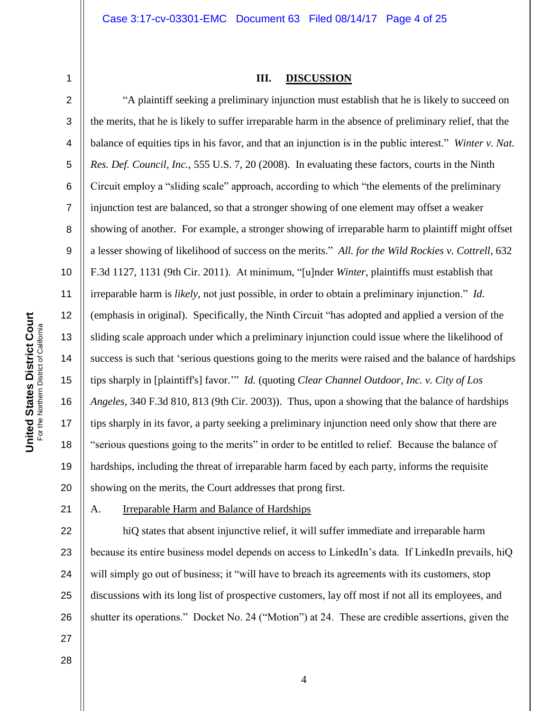1 2

3

4

5

6

7

8

9

10

11

12

13

14

15

16

17

18

19

20

#### **III. DISCUSSION**

"A plaintiff seeking a preliminary injunction must establish that he is likely to succeed on the merits, that he is likely to suffer irreparable harm in the absence of preliminary relief, that the balance of equities tips in his favor, and that an injunction is in the public interest." *Winter v. Nat. Res. Def. Council, Inc.*, 555 U.S. 7, 20 (2008). In evaluating these factors, courts in the Ninth Circuit employ a "sliding scale" approach, according to which "the elements of the preliminary injunction test are balanced, so that a stronger showing of one element may offset a weaker showing of another. For example, a stronger showing of irreparable harm to plaintiff might offset a lesser showing of likelihood of success on the merits." *All. for the Wild Rockies v. Cottrell*, 632 F.3d 1127, 1131 (9th Cir. 2011). At minimum, "[u]nder *Winter*, plaintiffs must establish that irreparable harm is *likely,* not just possible, in order to obtain a preliminary injunction." *Id.* (emphasis in original). Specifically, the Ninth Circuit "has adopted and applied a version of the sliding scale approach under which a preliminary injunction could issue where the likelihood of success is such that "serious questions going to the merits were raised and the balance of hardships tips sharply in [plaintiff's] favor."" *Id.* (quoting *Clear Channel Outdoor, Inc. v. City of Los Angeles*, 340 F.3d 810, 813 (9th Cir. 2003)). Thus, upon a showing that the balance of hardships tips sharply in its favor, a party seeking a preliminary injunction need only show that there are "serious questions going to the merits" in order to be entitled to relief. Because the balance of hardships, including the threat of irreparable harm faced by each party, informs the requisite showing on the merits, the Court addresses that prong first.

21

#### A. Irreparable Harm and Balance of Hardships

22 23 24 25 26 hiQ states that absent injunctive relief, it will suffer immediate and irreparable harm because its entire business model depends on access to LinkedIn"s data. If LinkedIn prevails, hiQ will simply go out of business; it "will have to breach its agreements with its customers, stop discussions with its long list of prospective customers, lay off most if not all its employees, and shutter its operations." Docket No. 24 ("Motion") at 24. These are credible assertions, given the

**United States District Court**<br>For the Northern District of California **United States District Court** For the Northern District of California

28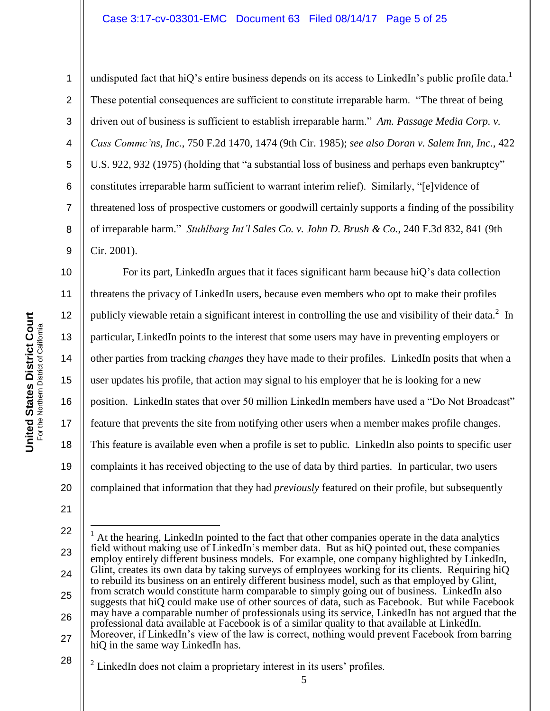## Case 3:17-cv-03301-EMC Document 63 Filed 08/14/17 Page 5 of 25

1

2 3 4 5 6 7 8 9 undisputed fact that hiQ's entire business depends on its access to LinkedIn's public profile data.<sup>1</sup> These potential consequences are sufficient to constitute irreparable harm. "The threat of being driven out of business is sufficient to establish irreparable harm." *Am. Passage Media Corp. v. Cass Commc'ns, Inc.*, 750 F.2d 1470, 1474 (9th Cir. 1985); *see also Doran v. Salem Inn, Inc.*, 422 U.S. 922, 932 (1975) (holding that "a substantial loss of business and perhaps even bankruptcy" constitutes irreparable harm sufficient to warrant interim relief). Similarly, "[e]vidence of threatened loss of prospective customers or goodwill certainly supports a finding of the possibility of irreparable harm." *Stuhlbarg Int'l Sales Co. v. John D. Brush & Co.*, 240 F.3d 832, 841 (9th Cir. 2001).

10 11 12 13 14 15 16 17 18 19 20 For its part, LinkedIn argues that it faces significant harm because hiQ"s data collection threatens the privacy of LinkedIn users, because even members who opt to make their profiles publicly viewable retain a significant interest in controlling the use and visibility of their data.<sup>2</sup> In particular, LinkedIn points to the interest that some users may have in preventing employers or other parties from tracking *changes* they have made to their profiles. LinkedIn posits that when a user updates his profile, that action may signal to his employer that he is looking for a new position. LinkedIn states that over 50 million LinkedIn members have used a "Do Not Broadcast" feature that prevents the site from notifying other users when a member makes profile changes. This feature is available even when a profile is set to public. LinkedIn also points to specific user complaints it has received objecting to the use of data by third parties. In particular, two users complained that information that they had *previously* featured on their profile, but subsequently

 $\overline{a}$ 

<sup>21</sup>

<sup>22</sup> 23 24 25 26 27  $<sup>1</sup>$  At the hearing, LinkedIn pointed to the fact that other companies operate in the data analytics</sup> field without making use of LinkedIn"s member data. But as hiQ pointed out, these companies employ entirely different business models. For example, one company highlighted by LinkedIn, Glint, creates its own data by taking surveys of employees working for its clients. Requiring hiQ to rebuild its business on an entirely different business model, such as that employed by Glint, from scratch would constitute harm comparable to simply going out of business. LinkedIn also suggests that hiQ could make use of other sources of data, such as Facebook. But while Facebook may have a comparable number of professionals using its service, LinkedIn has not argued that the professional data available at Facebook is of a similar quality to that available at LinkedIn. Moreover, if LinkedIn"s view of the law is correct, nothing would prevent Facebook from barring hiQ in the same way LinkedIn has.

<sup>28</sup>  $2$  LinkedIn does not claim a proprietary interest in its users' profiles.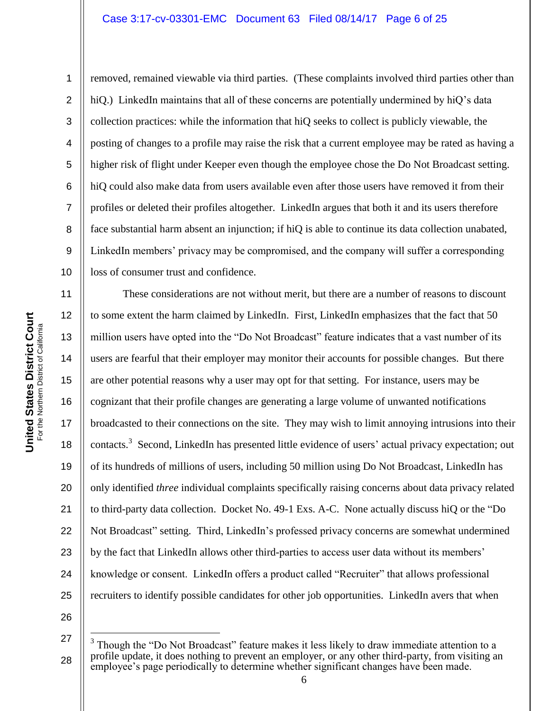#### Case 3:17-cv-03301-EMC Document 63 Filed 08/14/17 Page 6 of 25

**United States District Court**<br>For the Northern District of California **United States District Court** For the Northern District of California

11

12

13

14

15

16

17

18

19

20

21

22

23

24

25

1

2 3 4 5 6 7 8 9 10 removed, remained viewable via third parties. (These complaints involved third parties other than hiQ.) LinkedIn maintains that all of these concerns are potentially undermined by hiQ's data collection practices: while the information that hiQ seeks to collect is publicly viewable, the posting of changes to a profile may raise the risk that a current employee may be rated as having a higher risk of flight under Keeper even though the employee chose the Do Not Broadcast setting. hiQ could also make data from users available even after those users have removed it from their profiles or deleted their profiles altogether. LinkedIn argues that both it and its users therefore face substantial harm absent an injunction; if hiQ is able to continue its data collection unabated, LinkedIn members" privacy may be compromised, and the company will suffer a corresponding loss of consumer trust and confidence.

These considerations are not without merit, but there are a number of reasons to discount to some extent the harm claimed by LinkedIn. First, LinkedIn emphasizes that the fact that 50 million users have opted into the "Do Not Broadcast" feature indicates that a vast number of its users are fearful that their employer may monitor their accounts for possible changes. But there are other potential reasons why a user may opt for that setting. For instance, users may be cognizant that their profile changes are generating a large volume of unwanted notifications broadcasted to their connections on the site. They may wish to limit annoying intrusions into their contacts.<sup>3</sup> Second, LinkedIn has presented little evidence of users' actual privacy expectation; out of its hundreds of millions of users, including 50 million using Do Not Broadcast, LinkedIn has only identified *three* individual complaints specifically raising concerns about data privacy related to third-party data collection. Docket No. 49-1 Exs. A-C. None actually discuss hiQ or the "Do Not Broadcast" setting. Third, LinkedIn"s professed privacy concerns are somewhat undermined by the fact that LinkedIn allows other third-parties to access user data without its members' knowledge or consent. LinkedIn offers a product called "Recruiter" that allows professional recruiters to identify possible candidates for other job opportunities. LinkedIn avers that when

26

27

 $\overline{a}$ 

<sup>3</sup> Though the "Do Not Broadcast" feature makes it less likely to draw immediate attention to a profile update, it does nothing to prevent an employer, or any other third-party, from visiting an employee's page periodically to determine whether significant changes have been made.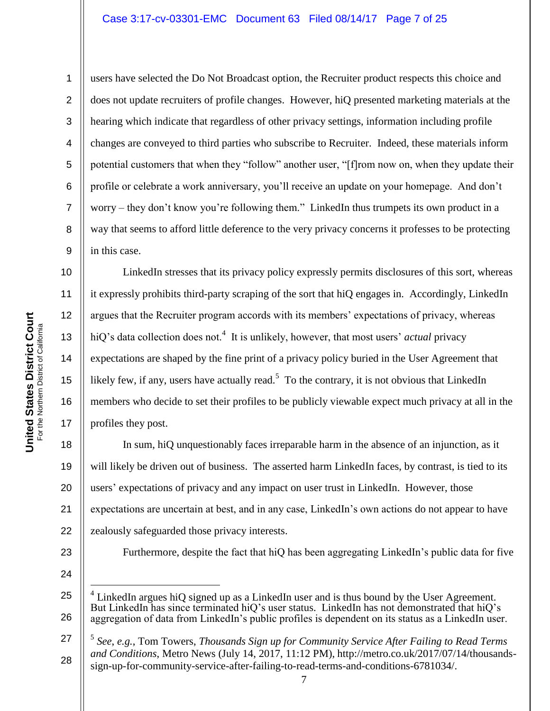#### Case 3:17-cv-03301-EMC Document 63 Filed 08/14/17 Page 7 of 25

10

11

12

13

14

15

16

17

1 2 3 4 5 6 7 8 9 users have selected the Do Not Broadcast option, the Recruiter product respects this choice and does not update recruiters of profile changes. However, hiQ presented marketing materials at the hearing which indicate that regardless of other privacy settings, information including profile changes are conveyed to third parties who subscribe to Recruiter. Indeed, these materials inform potential customers that when they "follow" another user, "[f]rom now on, when they update their profile or celebrate a work anniversary, you"ll receive an update on your homepage. And don"t worry – they don"t know you"re following them." LinkedIn thus trumpets its own product in a way that seems to afford little deference to the very privacy concerns it professes to be protecting in this case.

LinkedIn stresses that its privacy policy expressly permits disclosures of this sort, whereas it expressly prohibits third-party scraping of the sort that hiQ engages in. Accordingly, LinkedIn argues that the Recruiter program accords with its members" expectations of privacy, whereas hiQ's data collection does not.<sup>4</sup> It is unlikely, however, that most users' *actual* privacy expectations are shaped by the fine print of a privacy policy buried in the User Agreement that likely few, if any, users have actually read.<sup>5</sup> To the contrary, it is not obvious that LinkedIn members who decide to set their profiles to be publicly viewable expect much privacy at all in the profiles they post.

18 19 20 21 22 In sum, hiQ unquestionably faces irreparable harm in the absence of an injunction, as it will likely be driven out of business. The asserted harm LinkedIn faces, by contrast, is tied to its users' expectations of privacy and any impact on user trust in LinkedIn. However, those expectations are uncertain at best, and in any case, LinkedIn"s own actions do not appear to have zealously safeguarded those privacy interests.

23

Furthermore, despite the fact that hiQ has been aggregating LinkedIn's public data for five

24

25

 $\overline{a}$ 

26

27 28 5 *See*, *e.g.*, Tom Towers, *Thousands Sign up for Community Service After Failing to Read Terms and Conditions*, Metro News (July 14, 2017, 11:12 PM), http://metro.co.uk/2017/07/14/thousandssign-up-for-community-service-after-failing-to-read-terms-and-conditions-6781034/.

<sup>4</sup> LinkedIn argues hiQ signed up as a LinkedIn user and is thus bound by the User Agreement. But LinkedIn has since terminated hiQ"s user status. LinkedIn has not demonstrated that hiQ"s aggregation of data from LinkedIn"s public profiles is dependent on its status as a LinkedIn user.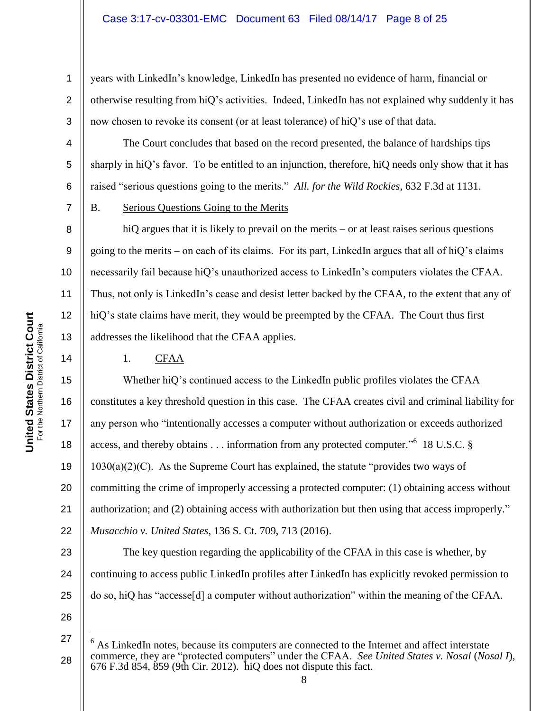years with LinkedIn"s knowledge, LinkedIn has presented no evidence of harm, financial or otherwise resulting from hiQ"s activities. Indeed, LinkedIn has not explained why suddenly it has now chosen to revoke its consent (or at least tolerance) of hiQ"s use of that data.

The Court concludes that based on the record presented, the balance of hardships tips sharply in hiQ's favor. To be entitled to an injunction, therefore, hiQ needs only show that it has raised "serious questions going to the merits." *All. for the Wild Rockies*, 632 F.3d at 1131.

## B. Serious Questions Going to the Merits

hiQ argues that it is likely to prevail on the merits – or at least raises serious questions going to the merits – on each of its claims. For its part, LinkedIn argues that all of hiQ"s claims necessarily fail because hiQ"s unauthorized access to LinkedIn"s computers violates the CFAA. Thus, not only is LinkedIn"s cease and desist letter backed by the CFAA, to the extent that any of hiQ's state claims have merit, they would be preempted by the CFAA. The Court thus first addresses the likelihood that the CFAA applies.

## 1. CFAA

15 16 17 18 19 20 21 22 Whether hiQ"s continued access to the LinkedIn public profiles violates the CFAA constitutes a key threshold question in this case. The CFAA creates civil and criminal liability for any person who "intentionally accesses a computer without authorization or exceeds authorized access, and thereby obtains . . . information from any protected computer."<sup>6</sup> 18 U.S.C. §  $1030(a)(2)(C)$ . As the Supreme Court has explained, the statute "provides two ways of committing the crime of improperly accessing a protected computer: (1) obtaining access without authorization; and (2) obtaining access with authorization but then using that access improperly." *Musacchio v. United States*, 136 S. Ct. 709, 713 (2016).

23 24 25 The key question regarding the applicability of the CFAA in this case is whether, by continuing to access public LinkedIn profiles after LinkedIn has explicitly revoked permission to do so, hiQ has "accesse[d] a computer without authorization" within the meaning of the CFAA.

26

27

 $\overline{a}$ 

28

1

2

3

4

5

6

7

8

9

10

11

12

13

<sup>6</sup> As LinkedIn notes, because its computers are connected to the Internet and affect interstate commerce, they are "protected computers" under the CFAA. *See United States v. Nosal* (*Nosal I*), 676 F.3d 854, 859 (9th Cir. 2012). hiQ does not dispute this fact.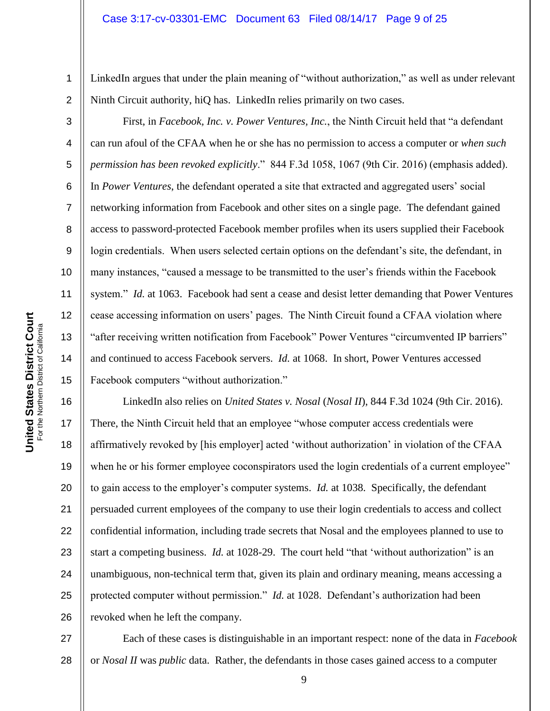LinkedIn argues that under the plain meaning of "without authorization," as well as under relevant Ninth Circuit authority, hiQ has. LinkedIn relies primarily on two cases.

First, in *Facebook, Inc. v. Power Ventures, Inc.*, the Ninth Circuit held that "a defendant can run afoul of the CFAA when he or she has no permission to access a computer or *when such permission has been revoked explicitly*." 844 F.3d 1058, 1067 (9th Cir. 2016) (emphasis added). In *Power Ventures*, the defendant operated a site that extracted and aggregated users" social networking information from Facebook and other sites on a single page. The defendant gained access to password-protected Facebook member profiles when its users supplied their Facebook login credentials. When users selected certain options on the defendant's site, the defendant, in many instances, "caused a message to be transmitted to the user"s friends within the Facebook system." *Id.* at 1063. Facebook had sent a cease and desist letter demanding that Power Ventures cease accessing information on users" pages. The Ninth Circuit found a CFAA violation where "after receiving written notification from Facebook" Power Ventures "circumvented IP barriers" and continued to access Facebook servers. *Id.* at 1068. In short, Power Ventures accessed Facebook computers "without authorization."

16 17 18 19 20 21 22 23 24 25 26 LinkedIn also relies on *United States v. Nosal* (*Nosal II*), 844 F.3d 1024 (9th Cir. 2016). There, the Ninth Circuit held that an employee "whose computer access credentials were affirmatively revoked by [his employer] acted "without authorization" in violation of the CFAA when he or his former employee coconspirators used the login credentials of a current employee" to gain access to the employer"s computer systems. *Id.* at 1038. Specifically, the defendant persuaded current employees of the company to use their login credentials to access and collect confidential information, including trade secrets that Nosal and the employees planned to use to start a competing business. *Id.* at 1028-29. The court held "that 'without authorization" is an unambiguous, non-technical term that, given its plain and ordinary meaning, means accessing a protected computer without permission." *Id.* at 1028. Defendant's authorization had been revoked when he left the company.

27 28 Each of these cases is distinguishable in an important respect: none of the data in *Facebook*  or *Nosal II* was *public* data. Rather, the defendants in those cases gained access to a computer

1

2

3

4

5

6

7

8

9

10

11

12

13

14

15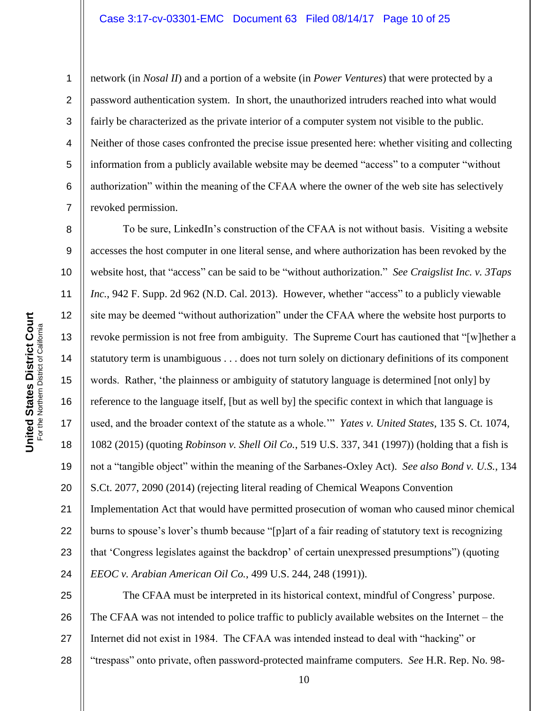**United States District Court**<br>For the Northern District of California **United States District Court** For the Northern District of California 1

2

3

4

5

6

7

8

9

10

11

15

16

17

18

19

20

21

24

network (in *Nosal II*) and a portion of a website (in *Power Ventures*) that were protected by a password authentication system. In short, the unauthorized intruders reached into what would fairly be characterized as the private interior of a computer system not visible to the public. Neither of those cases confronted the precise issue presented here: whether visiting and collecting information from a publicly available website may be deemed "access" to a computer "without authorization" within the meaning of the CFAA where the owner of the web site has selectively revoked permission.

12 13 14 22 23 To be sure, LinkedIn"s construction of the CFAA is not without basis. Visiting a website accesses the host computer in one literal sense, and where authorization has been revoked by the website host, that "access" can be said to be "without authorization." *See Craigslist Inc. v. 3Taps Inc.*, 942 F. Supp. 2d 962 (N.D. Cal. 2013). However, whether "access" to a publicly viewable site may be deemed "without authorization" under the CFAA where the website host purports to revoke permission is not free from ambiguity. The Supreme Court has cautioned that "[w]hether a statutory term is unambiguous . . . does not turn solely on dictionary definitions of its component words. Rather, "the plainness or ambiguity of statutory language is determined [not only] by reference to the language itself, [but as well by] the specific context in which that language is used, and the broader context of the statute as a whole."" *Yates v. United States*, 135 S. Ct. 1074, 1082 (2015) (quoting *Robinson v. Shell Oil Co.*, 519 U.S. 337, 341 (1997)) (holding that a fish is not a "tangible object" within the meaning of the Sarbanes-Oxley Act). *See also Bond v. U.S.*, 134 S.Ct. 2077, 2090 (2014) (rejecting literal reading of Chemical Weapons Convention Implementation Act that would have permitted prosecution of woman who caused minor chemical burns to spouse's lover's thumb because "[p]art of a fair reading of statutory text is recognizing that "Congress legislates against the backdrop" of certain unexpressed presumptions") (quoting *EEOC v. Arabian American Oil Co.*, 499 U.S. 244, 248 (1991)).

25 26 27 28 The CFAA must be interpreted in its historical context, mindful of Congress' purpose. The CFAA was not intended to police traffic to publicly available websites on the Internet – the Internet did not exist in 1984. The CFAA was intended instead to deal with "hacking" or "trespass" onto private, often password-protected mainframe computers. *See* H.R. Rep. No. 98-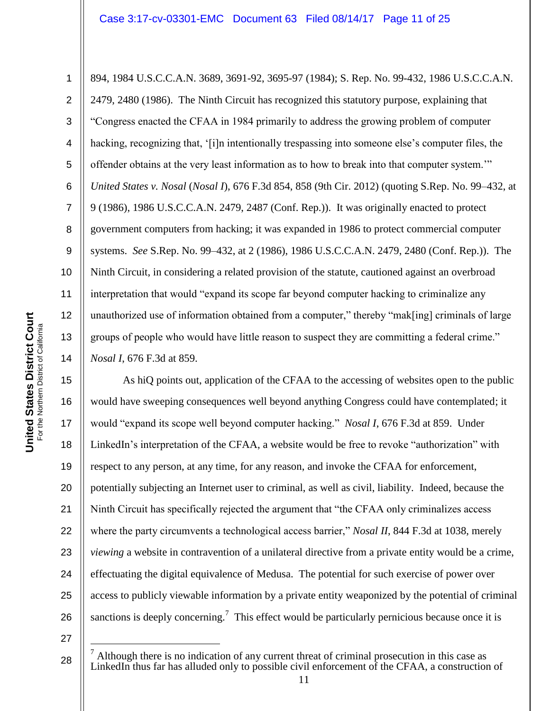1 2 3 4 5 6 7 8 9 10 11 12 13 14 894, 1984 U.S.C.C.A.N. 3689, 3691-92, 3695-97 (1984); S. Rep. No. 99-432, 1986 U.S.C.C.A.N. 2479, 2480 (1986). The Ninth Circuit has recognized this statutory purpose, explaining that "Congress enacted the CFAA in 1984 primarily to address the growing problem of computer hacking, recognizing that, '[i]n intentionally trespassing into someone else's computer files, the offender obtains at the very least information as to how to break into that computer system."" *United States v. Nosal* (*Nosal I*), 676 F.3d 854, 858 (9th Cir. 2012) (quoting S.Rep. No. 99–432, at 9 (1986), 1986 U.S.C.C.A.N. 2479, 2487 (Conf. Rep.)). It was originally enacted to protect government computers from hacking; it was expanded in 1986 to protect commercial computer systems. *See* S.Rep. No. 99–432, at 2 (1986), 1986 U.S.C.C.A.N. 2479, 2480 (Conf. Rep.)). The Ninth Circuit, in considering a related provision of the statute, cautioned against an overbroad interpretation that would "expand its scope far beyond computer hacking to criminalize any unauthorized use of information obtained from a computer," thereby "mak[ing] criminals of large groups of people who would have little reason to suspect they are committing a federal crime." *Nosal I*, 676 F.3d at 859.

15 16 17 18 19 20 21 22 23 24 25 26 As hiQ points out, application of the CFAA to the accessing of websites open to the public would have sweeping consequences well beyond anything Congress could have contemplated; it would "expand its scope well beyond computer hacking." *Nosal I*, 676 F.3d at 859. Under LinkedIn"s interpretation of the CFAA, a website would be free to revoke "authorization" with respect to any person, at any time, for any reason, and invoke the CFAA for enforcement, potentially subjecting an Internet user to criminal, as well as civil, liability. Indeed, because the Ninth Circuit has specifically rejected the argument that "the CFAA only criminalizes access where the party circumvents a technological access barrier," *Nosal II*, 844 F.3d at 1038, merely *viewing* a website in contravention of a unilateral directive from a private entity would be a crime, effectuating the digital equivalence of Medusa. The potential for such exercise of power over access to publicly viewable information by a private entity weaponized by the potential of criminal sanctions is deeply concerning.<sup>7</sup> This effect would be particularly pernicious because once it is

27

 $\overline{a}$ 

<sup>7</sup> Although there is no indication of any current threat of criminal prosecution in this case as LinkedIn thus far has alluded only to possible civil enforcement of the CFAA, a construction of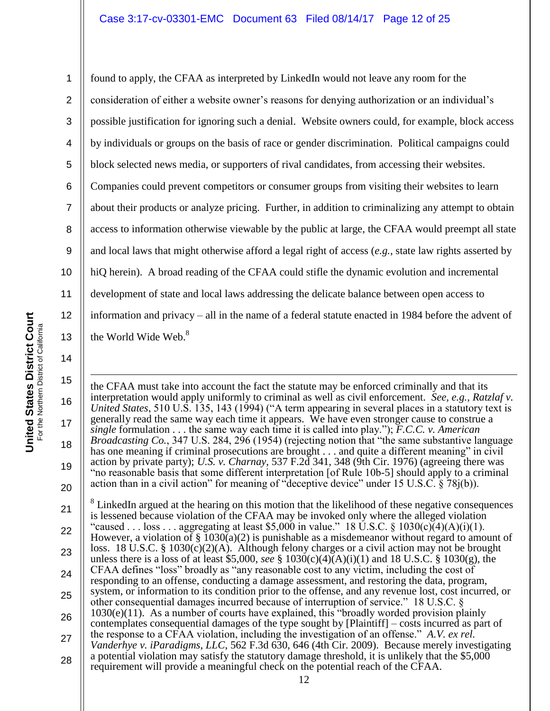1 2 3 4 5 6 7 8 9 10 11 12 13 found to apply, the CFAA as interpreted by LinkedIn would not leave any room for the consideration of either a website owner"s reasons for denying authorization or an individual"s possible justification for ignoring such a denial. Website owners could, for example, block access by individuals or groups on the basis of race or gender discrimination. Political campaigns could block selected news media, or supporters of rival candidates, from accessing their websites. Companies could prevent competitors or consumer groups from visiting their websites to learn about their products or analyze pricing. Further, in addition to criminalizing any attempt to obtain access to information otherwise viewable by the public at large, the CFAA would preempt all state and local laws that might otherwise afford a legal right of access (*e.g.*, state law rights asserted by hiQ herein). A broad reading of the CFAA could stifle the dynamic evolution and incremental development of state and local laws addressing the delicate balance between open access to information and privacy – all in the name of a federal statute enacted in 1984 before the advent of the World Wide Web.<sup>8</sup>

**United States District Court United States District Court** For the Northern District of California For the Northern District of California

14

15 16 17 18 19 20 21 22 23 24 25 26 27 28 1 the CFAA must take into account the fact the statute may be enforced criminally and that its interpretation would apply uniformly to criminal as well as civil enforcement. *See, e.g., Ratzlaf v. United States*, 510 U.S. 135, 143 (1994) ("A term appearing in several places in a statutory text is generally read the same way each time it appears. We have even stronger cause to construe a *single* formulation . . . the same way each time it is called into play."); *F.C.C. v. American Broadcasting Co.*, 347 U.S. 284, 296 (1954) (rejecting notion that "the same substantive language has one meaning if criminal prosecutions are brought . . . and quite a different meaning" in civil action by private party); *U.S. v. Charnay*, 537 F.2d 341, 348 (9th Cir. 1976) (agreeing there was "no reasonable basis that some different interpretation [of Rule 10b-5] should apply to a criminal action than in a civil action" for meaning of "deceptive device" under 15 U.S.C.  $\S$  78j(b)). 8 LinkedIn argued at the hearing on this motion that the likelihood of these negative consequences is lessened because violation of the CFAA may be invoked only where the alleged violation "caused . . . loss . . . aggregating at least \$5,000 in value." 18 U.S.C. § 1030(c)(4)(A)(i)(1). However, a violation of  $\S$  1030(a)(2) is punishable as a misdemeanor without regard to amount of loss. 18 U.S.C. § 1030(c)(2)(A). Although felony charges or a civil action may not be brought unless there is a loss of at least \$5,000, *see* § 1030(c)(4)(A)(i)(1) and 18 U.S.C. § 1030(g), the CFAA defines "loss" broadly as "any reasonable cost to any victim, including the cost of responding to an offense, conducting a damage assessment, and restoring the data, program, system, or information to its condition prior to the offense, and any revenue lost, cost incurred, or other consequential damages incurred because of interruption of service." 18 U.S.C. § 1030(e)(11). As a number of courts have explained, this "broadly worded provision plainly contemplates consequential damages of the type sought by [Plaintiff] – costs incurred as part of the response to a CFAA violation, including the investigation of an offense." *A.V. ex rel. Vanderhye v. iParadigms, LLC*, 562 F.3d 630, 646 (4th Cir. 2009). Because merely investigating a potential violation may satisfy the statutory damage threshold, it is unlikely that the \$5,000 requirement will provide a meaningful check on the potential reach of the CFAA.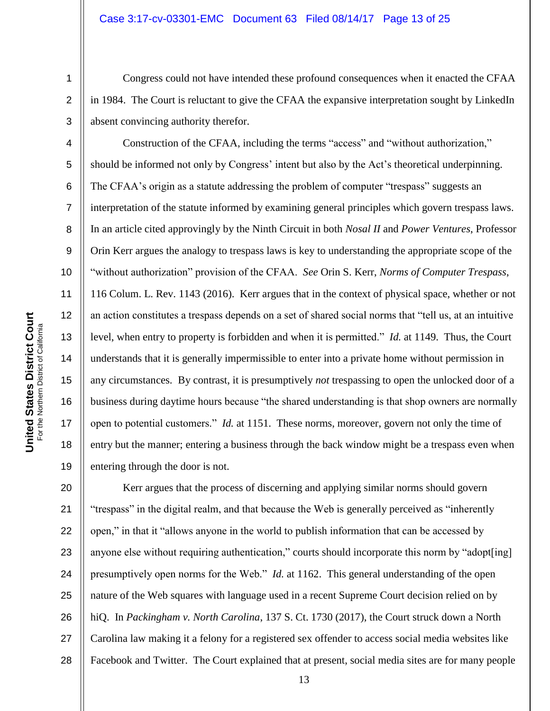Congress could not have intended these profound consequences when it enacted the CFAA in 1984. The Court is reluctant to give the CFAA the expansive interpretation sought by LinkedIn absent convincing authority therefor.

Construction of the CFAA, including the terms "access" and "without authorization," should be informed not only by Congress' intent but also by the Act's theoretical underpinning. The CFAA's origin as a statute addressing the problem of computer "trespass" suggests an interpretation of the statute informed by examining general principles which govern trespass laws. In an article cited approvingly by the Ninth Circuit in both *Nosal II* and *Power Ventures*, Professor Orin Kerr argues the analogy to trespass laws is key to understanding the appropriate scope of the "without authorization" provision of the CFAA. *See* Orin S. Kerr, *Norms of Computer Trespass*, 116 Colum. L. Rev. 1143 (2016). Kerr argues that in the context of physical space, whether or not an action constitutes a trespass depends on a set of shared social norms that "tell us, at an intuitive level, when entry to property is forbidden and when it is permitted." *Id.* at 1149. Thus, the Court understands that it is generally impermissible to enter into a private home without permission in any circumstances. By contrast, it is presumptively *not* trespassing to open the unlocked door of a business during daytime hours because "the shared understanding is that shop owners are normally open to potential customers." *Id.* at 1151. These norms, moreover, govern not only the time of entry but the manner; entering a business through the back window might be a trespass even when entering through the door is not.

20 21 22 23 24 25 26 27 28 Kerr argues that the process of discerning and applying similar norms should govern "trespass" in the digital realm, and that because the Web is generally perceived as "inherently open," in that it "allows anyone in the world to publish information that can be accessed by anyone else without requiring authentication," courts should incorporate this norm by "adopt[ing] presumptively open norms for the Web." *Id.* at 1162. This general understanding of the open nature of the Web squares with language used in a recent Supreme Court decision relied on by hiQ. In *Packingham v. North Carolina*, 137 S. Ct. 1730 (2017), the Court struck down a North Carolina law making it a felony for a registered sex offender to access social media websites like Facebook and Twitter. The Court explained that at present, social media sites are for many people

1

2

3

4

5

6

7

8

9

10

11

12

13

14

15

16

17

18

19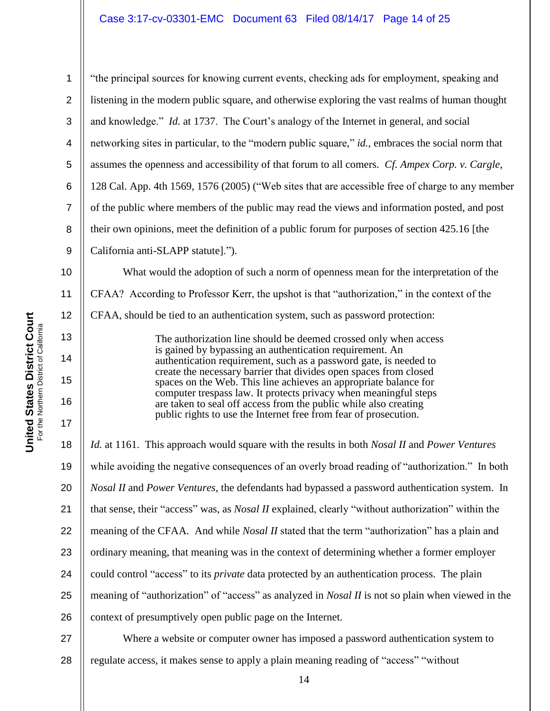1 2 3 4 5 6 7 8 9 10 11 12 13 14 15 16 17 18 19 20 21 22 "the principal sources for knowing current events, checking ads for employment, speaking and listening in the modern public square, and otherwise exploring the vast realms of human thought and knowledge." *Id.* at 1737. The Court's analogy of the Internet in general, and social networking sites in particular, to the "modern public square," *id.*, embraces the social norm that assumes the openness and accessibility of that forum to all comers. *Cf. Ampex Corp. v. Cargle*, 128 Cal. App. 4th 1569, 1576 (2005) ("Web sites that are accessible free of charge to any member of the public where members of the public may read the views and information posted, and post their own opinions, meet the definition of a public forum for purposes of section 425.16 [the California anti-SLAPP statute]."). What would the adoption of such a norm of openness mean for the interpretation of the CFAA? According to Professor Kerr, the upshot is that "authorization," in the context of the CFAA, should be tied to an authentication system, such as password protection: The authorization line should be deemed crossed only when access is gained by bypassing an authentication requirement. An authentication requirement, such as a password gate, is needed to create the necessary barrier that divides open spaces from closed spaces on the Web. This line achieves an appropriate balance for computer trespass law. It protects privacy when meaningful steps are taken to seal off access from the public while also creating public rights to use the Internet free from fear of prosecution. *Id.* at 1161. This approach would square with the results in both *Nosal II* and *Power Ventures*  while avoiding the negative consequences of an overly broad reading of "authorization." In both *Nosal II* and *Power Ventures*, the defendants had bypassed a password authentication system. In that sense, their "access" was, as *Nosal II* explained, clearly "without authorization" within the meaning of the CFAA. And while *Nosal II* stated that the term "authorization" has a plain and

**United States District Court United States District Court** For the Northern District of California For the Northern District of California

23 24 25 26 27 ordinary meaning, that meaning was in the context of determining whether a former employer could control "access" to its *private* data protected by an authentication process. The plain meaning of "authorization" of "access" as analyzed in *Nosal II* is not so plain when viewed in the context of presumptively open public page on the Internet. Where a website or computer owner has imposed a password authentication system to

28 regulate access, it makes sense to apply a plain meaning reading of "access" "without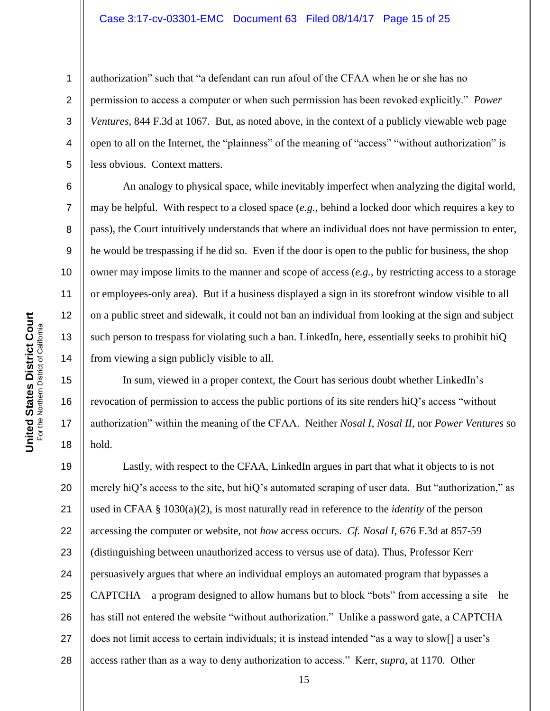authorization" such that "a defendant can run afoul of the CFAA when he or she has no permission to access a computer or when such permission has been revoked explicitly." *Power Ventures*, 844 F.3d at 1067. But, as noted above, in the context of a publicly viewable web page open to all on the Internet, the "plainness" of the meaning of "access" "without authorization" is less obvious. Context matters.

An analogy to physical space, while inevitably imperfect when analyzing the digital world, may be helpful. With respect to a closed space (*e.g.*, behind a locked door which requires a key to pass), the Court intuitively understands that where an individual does not have permission to enter, he would be trespassing if he did so. Even if the door is open to the public for business, the shop owner may impose limits to the manner and scope of access (*e.g.*, by restricting access to a storage or employees-only area). But if a business displayed a sign in its storefront window visible to all on a public street and sidewalk, it could not ban an individual from looking at the sign and subject such person to trespass for violating such a ban. LinkedIn, here, essentially seeks to prohibit hiQ from viewing a sign publicly visible to all.

In sum, viewed in a proper context, the Court has serious doubt whether LinkedIn"s revocation of permission to access the public portions of its site renders hiQ"s access "without authorization" within the meaning of the CFAA. Neither *Nosal I*, *Nosal II*, nor *Power Ventures* so hold.

19 20 21 22 23 24 25 26 27 28 Lastly, with respect to the CFAA, LinkedIn argues in part that what it objects to is not merely hiQ's access to the site, but hiQ's automated scraping of user data. But "authorization," as used in CFAA § 1030(a)(2), is most naturally read in reference to the *identity* of the person accessing the computer or website, not *how* access occurs. *Cf. Nosal I*, 676 F.3d at 857-59 (distinguishing between unauthorized access to versus use of data). Thus, Professor Kerr persuasively argues that where an individual employs an automated program that bypasses a CAPTCHA – a program designed to allow humans but to block "bots" from accessing a site – he has still not entered the website "without authorization." Unlike a password gate, a CAPTCHA does not limit access to certain individuals; it is instead intended "as a way to slow[] a user's access rather than as a way to deny authorization to access." Kerr, *supra*, at 1170. Other

1

2

3

4

5

6

7

8

9

10

11

12

13

14

15

16

17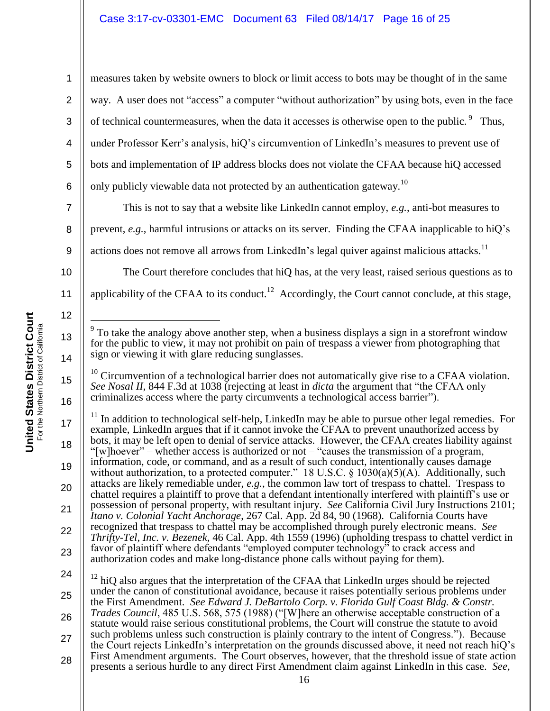measures taken by website owners to block or limit access to bots may be thought of in the same way. A user does not "access" a computer "without authorization" by using bots, even in the face of technical countermeasures, when the data it accesses is otherwise open to the public.  $9$  Thus, under Professor Kerr's analysis, hiQ's circumvention of LinkedIn's measures to prevent use of bots and implementation of IP address blocks does not violate the CFAA because hiQ accessed only publicly viewable data not protected by an authentication gateway.<sup>10</sup>

7 8 9 This is not to say that a website like LinkedIn cannot employ, *e.g.*, anti-bot measures to prevent, *e.g.*, harmful intrusions or attacks on its server. Finding the CFAA inapplicable to hiQ"s actions does not remove all arrows from LinkedIn's legal quiver against malicious attacks.<sup>11</sup>

The Court therefore concludes that hiQ has, at the very least, raised serious questions as to applicability of the CFAA to its conduct.<sup>12</sup> Accordingly, the Court cannot conclude, at this stage,

 $10$  Circumvention of a technological barrier does not automatically give rise to a CFAA violation. *See Nosal II*, 844 F.3d at 1038 (rejecting at least in *dicta* the argument that "the CFAA only criminalizes access where the party circumvents a technological access barrier").

17 18 19 20 21 22  $11$  In addition to technological self-help, LinkedIn may be able to pursue other legal remedies. For example, LinkedIn argues that if it cannot invoke the CFAA to prevent unauthorized access by bots, it may be left open to denial of service attacks. However, the CFAA creates liability against "[w]hoever" – whether access is authorized or not – "causes the transmission of a program, information, code, or command, and as a result of such conduct, intentionally causes damage without authorization, to a protected computer." 18 U.S.C.  $\S$  1030(a)(5)(A). Additionally, such attacks are likely remediable under, *e.g.*, the common law tort of trespass to chattel. Trespass to chattel requires a plaintiff to prove that a defendant intentionally interfered with plaintiff"s use or possession of personal property, with resultant injury. *See* California Civil Jury Instructions 2101; *Itano v. Colonial Yacht Anchorage*, 267 Cal. App. 2d 84, 90 (1968). California Courts have recognized that trespass to chattel may be accomplished through purely electronic means. *See Thrifty-Tel, Inc. v. Bezenek*, 46 Cal. App. 4th 1559 (1996) (upholding trespass to chattel verdict in favor of plaintiff where defendants "employed computer technology" to crack access and authorization codes and make long-distance phone calls without paying for them).

24 25

23 26 27 28  $12$  hiO also argues that the interpretation of the CFAA that LinkedIn urges should be rejected under the canon of constitutional avoidance, because it raises potentially serious problems under the First Amendment. *See Edward J. DeBartolo Corp. v. Florida Gulf Coast Bldg. & Constr. Trades Council*, 485 U.S. 568, 575 (1988) ("[W]here an otherwise acceptable construction of a statute would raise serious constitutional problems, the Court will construe the statute to avoid such problems unless such construction is plainly contrary to the intent of Congress."). Because the Court rejects LinkedIn"s interpretation on the grounds discussed above, it need not reach hiQ"s First Amendment arguments. The Court observes, however, that the threshold issue of state action presents a serious hurdle to any direct First Amendment claim against LinkedIn in this case. *See,* 

1

2

3

4

5

6

10

11

12

13

14

15

 $\overline{a}$ 9 To take the analogy above another step, when a business displays a sign in a storefront window for the public to view, it may not prohibit on pain of trespass a viewer from photographing that sign or viewing it with glare reducing sunglasses.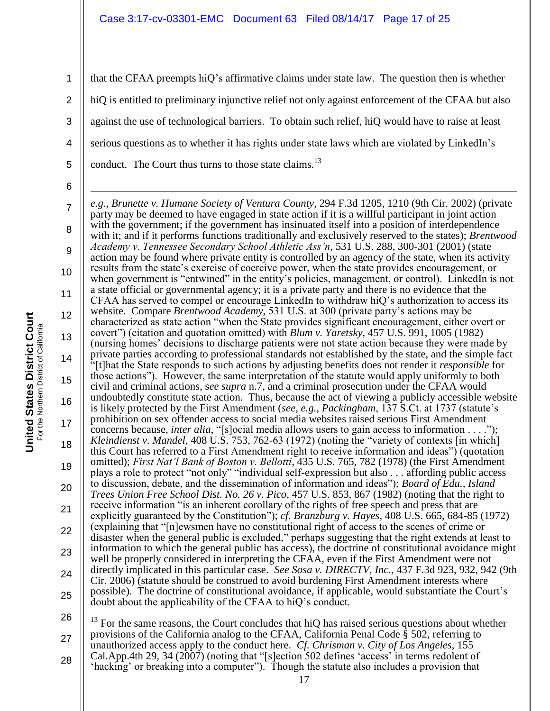2 3 4 that the CFAA preempts hiQ"s affirmative claims under state law. The question then is whether hiQ is entitled to preliminary injunctive relief not only against enforcement of the CFAA but also against the use of technological barriers. To obtain such relief, hiQ would have to raise at least serious questions as to whether it has rights under state laws which are violated by LinkedIn"s conduct. The Court thus turns to those state claims.<sup>13</sup>

7 8 9 10 11 12 13 14 15 16 17 18 19 20 21 22 23 24 25 1 *e.g., Brunette v. Humane Society of Ventura County*, 294 F.3d 1205, 1210 (9th Cir. 2002) (private party may be deemed to have engaged in state action if it is a willful participant in joint action with the government; if the government has insinuated itself into a position of interdependence with it; and if it performs functions traditionally and exclusively reserved to the states); *Brentwood Academy v. Tennessee Secondary School Athletic Ass'n*, 531 U.S. 288, 300-301 (2001) (state action may be found where private entity is controlled by an agency of the state, when its activity results from the state"s exercise of coercive power, when the state provides encouragement, or when government is "entwined" in the entity's policies, management, or control). LinkedIn is not a state official or governmental agency; it is a private party and there is no evidence that the CFAA has served to compel or encourage LinkedIn to withdraw hiQ"s authorization to access its website. Compare *Brentwood Academy*, 531 U.S. at 300 (private party"s actions may be characterized as state action "when the State provides significant encouragement, either overt or covert") (citation and quotation omitted) with *Blum v. Yaretsky*, 457 U.S. 991, 1005 (1982) (nursing homes" decisions to discharge patients were not state action because they were made by private parties according to professional standards not established by the state, and the simple fact "[t]hat the State responds to such actions by adjusting benefits does not render it *responsible* for those actions"). However, the same interpretation of the statute would apply uniformly to both civil and criminal actions, s*ee supra* n.7, and a criminal prosecution under the CFAA would undoubtedly constitute state action. Thus, because the act of viewing a publicly accessible website is likely protected by the First Amendment (*see, e.g., Packingham*, 137 S.Ct. at 1737 (statute"s prohibition on sex offender access to social media websites raised serious First Amendment concerns because, *inter alia*, "[s]ocial media allows users to gain access to information . . . ."); *Kleindienst v. Mandel*, 408 U.S. 753, 762-63 (1972) (noting the "variety of contexts [in which] this Court has referred to a First Amendment right to receive information and ideas") (quotation omitted); *First Nat'l Bank of Boston v. Bellotti*, 435 U.S. 765, 782 (1978) (the First Amendment plays a role to protect "not only" "individual self-expression but also . . . affording public access to discussion, debate, and the dissemination of information and ideas"); *Board of Edu., Island Trees Union Free School Dist. No. 26 v. Pico*, 457 U.S. 853, 867 (1982) (noting that the right to receive information "is an inherent corollary of the rights of free speech and press that are explicitly guaranteed by the Constitution"); *cf. Branzburg v. Hayes*, 408 U.S. 665, 684-85 (1972) (explaining that "[n]ewsmen have no constitutional right of access to the scenes of crime or disaster when the general public is excluded," perhaps suggesting that the right extends at least to information to which the general public has access), the doctrine of constitutional avoidance might well be properly considered in interpreting the CFAA, even if the First Amendment were not directly implicated in this particular case. *See Sosa v. DIRECTV, Inc.*, 437 F.3d 923, 932, 942 (9th Cir. 2006) (statute should be construed to avoid burdening First Amendment interests where possible). The doctrine of constitutional avoidance, if applicable, would substantiate the Court"s doubt about the applicability of the CFAA to hiQ"s conduct.

26 27 28  $13$  For the same reasons, the Court concludes that hiQ has raised serious questions about whether provisions of the California analog to the CFAA, California Penal Code  $\hat{\S}$  502, referring to unauthorized access apply to the conduct here. *Cf. Chrisman v. City of Los Angeles*, 155 Cal.App.4th 29, 34 (2007) (noting that "[s]ection 502 defines "access" in terms redolent of "hacking" or breaking into a computer"). Though the statute also includes a provision that

1

5

6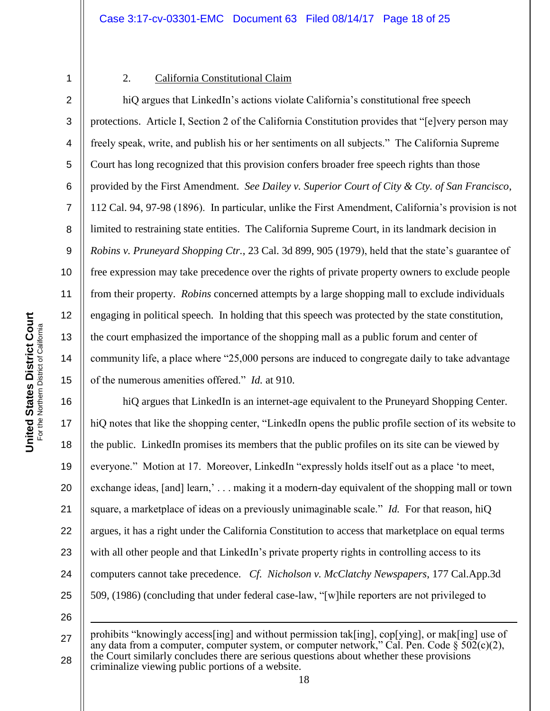2

3

4

5

6

7

8

9

10

11

12

13

14

15

1

1

# 2. California Constitutional Claim

hiQ argues that LinkedIn's actions violate California's constitutional free speech protections. Article I, Section 2 of the California Constitution provides that "[e]very person may freely speak, write, and publish his or her sentiments on all subjects." The California Supreme Court has long recognized that this provision confers broader free speech rights than those provided by the First Amendment. *See Dailey v. Superior Court of City & Cty. of San Francisco*, 112 Cal. 94, 97-98 (1896). In particular, unlike the First Amendment, California"s provision is not limited to restraining state entities. The California Supreme Court, in its landmark decision in *Robins v. Pruneyard Shopping Ctr.*, 23 Cal. 3d 899, 905 (1979), held that the state's guarantee of free expression may take precedence over the rights of private property owners to exclude people from their property. *Robins* concerned attempts by a large shopping mall to exclude individuals engaging in political speech. In holding that this speech was protected by the state constitution, the court emphasized the importance of the shopping mall as a public forum and center of community life, a place where "25,000 persons are induced to congregate daily to take advantage of the numerous amenities offered." *Id.* at 910.

16 17 18 19 20 21 22 23 24 25 26 hiQ argues that LinkedIn is an internet-age equivalent to the Pruneyard Shopping Center. hiQ notes that like the shopping center, "LinkedIn opens the public profile section of its website to the public. LinkedIn promises its members that the public profiles on its site can be viewed by everyone." Motion at 17. Moreover, LinkedIn "expressly holds itself out as a place "to meet, exchange ideas, [and] learn,'... making it a modern-day equivalent of the shopping mall or town square, a marketplace of ideas on a previously unimaginable scale." *Id.* For that reason, hiQ argues, it has a right under the California Constitution to access that marketplace on equal terms with all other people and that LinkedIn's private property rights in controlling access to its computers cannot take precedence. *Cf. Nicholson v. McClatchy Newspapers*, 177 Cal.App.3d 509, (1986) (concluding that under federal case-law, "[w]hile reporters are not privileged to

<sup>27</sup> 28 prohibits "knowingly access[ing] and without permission tak[ing], cop[ying], or mak[ing] use of any data from a computer, computer system, or computer network," Cal. Pen. Code  $\frac{1}{5}$  502(c)(2), the Court similarly concludes there are serious questions about whether these provisions criminalize viewing public portions of a website.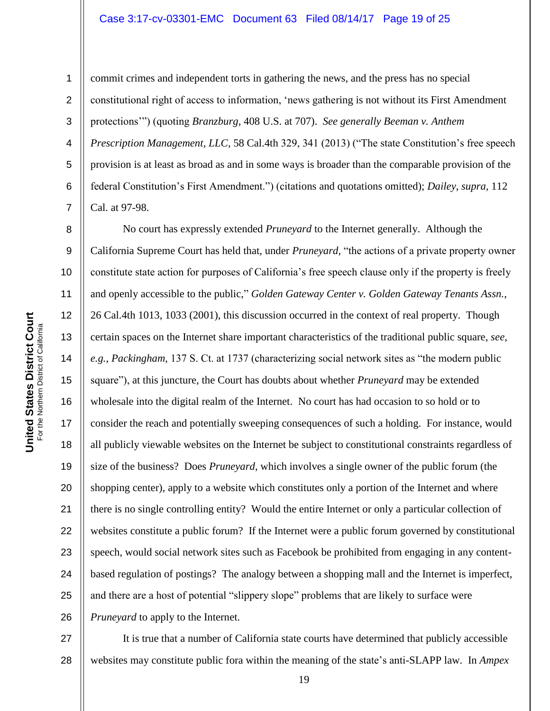#### Case 3:17-cv-03301-EMC Document 63 Filed 08/14/17 Page 19 of 25

1

2

3

4

5

6

7

8

9

10

11

12

14

15

16

17

18

19

20

21

22

23

24

25

26

commit crimes and independent torts in gathering the news, and the press has no special constitutional right of access to information, "news gathering is not without its First Amendment protections"") (quoting *Branzburg*, 408 U.S. at 707). *See generally Beeman v. Anthem Prescription Management, LLC, 58 Cal.4th 329, 341 (2013)* ("The state Constitution's free speech provision is at least as broad as and in some ways is broader than the comparable provision of the federal Constitution"s First Amendment.") (citations and quotations omitted); *Dailey*, *supra,* 112 Cal. at 97-98.

13 No court has expressly extended *Pruneyard* to the Internet generally. Although the California Supreme Court has held that, under *Pruneyard*, "the actions of a private property owner constitute state action for purposes of California"s free speech clause only if the property is freely and openly accessible to the public," *Golden Gateway Center v. Golden Gateway Tenants Assn.*, 26 Cal.4th 1013, 1033 (2001), this discussion occurred in the context of real property. Though certain spaces on the Internet share important characteristics of the traditional public square, *see*, *e.g.*, *Packingham*, 137 S. Ct. at 1737 (characterizing social network sites as "the modern public square"), at this juncture, the Court has doubts about whether *Pruneyard* may be extended wholesale into the digital realm of the Internet. No court has had occasion to so hold or to consider the reach and potentially sweeping consequences of such a holding. For instance, would all publicly viewable websites on the Internet be subject to constitutional constraints regardless of size of the business? Does *Pruneyard*, which involves a single owner of the public forum (the shopping center), apply to a website which constitutes only a portion of the Internet and where there is no single controlling entity? Would the entire Internet or only a particular collection of websites constitute a public forum? If the Internet were a public forum governed by constitutional speech, would social network sites such as Facebook be prohibited from engaging in any contentbased regulation of postings? The analogy between a shopping mall and the Internet is imperfect, and there are a host of potential "slippery slope" problems that are likely to surface were *Pruneyard* to apply to the Internet.

27 28 It is true that a number of California state courts have determined that publicly accessible websites may constitute public fora within the meaning of the state's anti-SLAPP law. In *Ampex*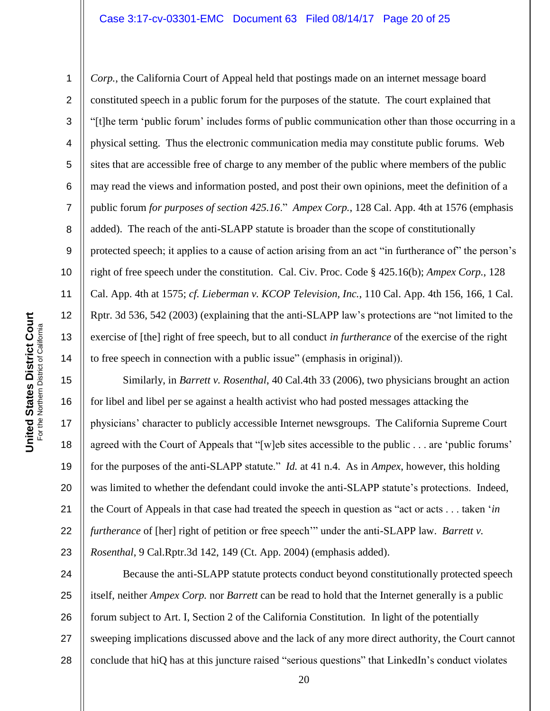*Corp.*, the California Court of Appeal held that postings made on an internet message board constituted speech in a public forum for the purposes of the statute. The court explained that "[t]he term "public forum" includes forms of public communication other than those occurring in a physical setting. Thus the electronic communication media may constitute public forums. Web sites that are accessible free of charge to any member of the public where members of the public may read the views and information posted, and post their own opinions, meet the definition of a public forum *for purposes of section 425.16*." *Ampex Corp.*, 128 Cal. App. 4th at 1576 (emphasis added). The reach of the anti-SLAPP statute is broader than the scope of constitutionally protected speech; it applies to a cause of action arising from an act "in furtherance of" the person's right of free speech under the constitution. Cal. Civ. Proc. Code § 425.16(b); *Ampex Corp.*, 128 Cal. App. 4th at 1575; *cf. Lieberman v. KCOP Television, Inc.*, 110 Cal. App. 4th 156, 166, 1 Cal. Rptr. 3d 536, 542 (2003) (explaining that the anti-SLAPP law"s protections are "not limited to the exercise of [the] right of free speech, but to all conduct *in furtherance* of the exercise of the right to free speech in connection with a public issue" (emphasis in original)).

15 16 17 18 19 20 21 22 23 Similarly, in *Barrett v. Rosenthal*, 40 Cal.4th 33 (2006), two physicians brought an action for libel and libel per se against a health activist who had posted messages attacking the physicians" character to publicly accessible Internet newsgroups. The California Supreme Court agreed with the Court of Appeals that "[w]eb sites accessible to the public . . . are 'public forums' for the purposes of the anti-SLAPP statute." *Id.* at 41 n.4. As in *Ampex*, however, this holding was limited to whether the defendant could invoke the anti-SLAPP statute's protections. Indeed, the Court of Appeals in that case had treated the speech in question as "act or acts . . . taken "*in furtherance* of [her] right of petition or free speech"" under the anti-SLAPP law. *Barrett v. Rosenthal*, 9 Cal.Rptr.3d 142, 149 (Ct. App. 2004) (emphasis added).

24 25 26 27 28 Because the anti-SLAPP statute protects conduct beyond constitutionally protected speech itself, neither *Ampex Corp.* nor *Barrett* can be read to hold that the Internet generally is a public forum subject to Art. I, Section 2 of the California Constitution. In light of the potentially sweeping implications discussed above and the lack of any more direct authority, the Court cannot conclude that hiQ has at this juncture raised "serious questions" that LinkedIn"s conduct violates

1

2

3

4

5

6

7

8

9

10

11

12

13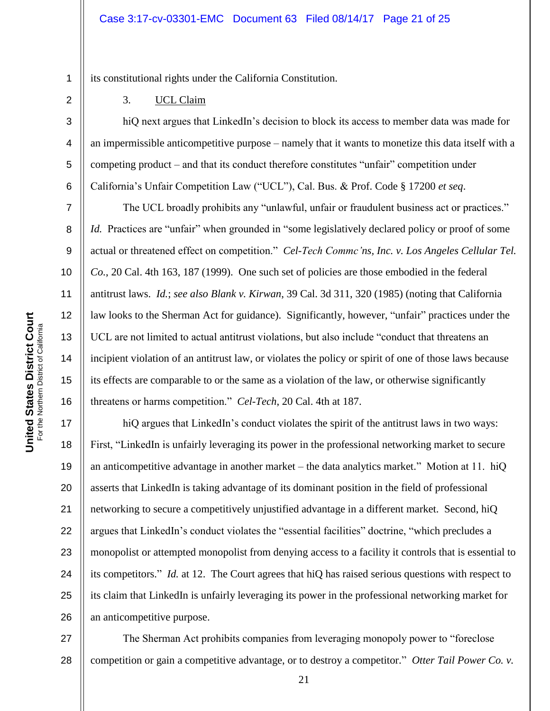its constitutional rights under the California Constitution.

3. UCL Claim

hiQ next argues that LinkedIn's decision to block its access to member data was made for an impermissible anticompetitive purpose – namely that it wants to monetize this data itself with a competing product – and that its conduct therefore constitutes "unfair" competition under California"s Unfair Competition Law ("UCL"), Cal. Bus. & Prof. Code § 17200 *et seq*.

The UCL broadly prohibits any "unlawful, unfair or fraudulent business act or practices." *Id.* Practices are "unfair" when grounded in "some legislatively declared policy or proof of some actual or threatened effect on competition." *Cel-Tech Commc'ns, Inc. v. Los Angeles Cellular Tel. Co.*, 20 Cal. 4th 163, 187 (1999). One such set of policies are those embodied in the federal antitrust laws. *Id.*; *see also Blank v. Kirwan*, 39 Cal. 3d 311, 320 (1985) (noting that California law looks to the Sherman Act for guidance). Significantly, however, "unfair" practices under the UCL are not limited to actual antitrust violations, but also include "conduct that threatens an incipient violation of an antitrust law, or violates the policy or spirit of one of those laws because its effects are comparable to or the same as a violation of the law, or otherwise significantly threatens or harms competition." *Cel-Tech*, 20 Cal. 4th at 187.

17 18 19 20 21 22 23 24 25 26 hiQ argues that LinkedIn's conduct violates the spirit of the antitrust laws in two ways: First, "LinkedIn is unfairly leveraging its power in the professional networking market to secure an anticompetitive advantage in another market – the data analytics market." Motion at 11. hiQ asserts that LinkedIn is taking advantage of its dominant position in the field of professional networking to secure a competitively unjustified advantage in a different market. Second, hiQ argues that LinkedIn"s conduct violates the "essential facilities" doctrine, "which precludes a monopolist or attempted monopolist from denying access to a facility it controls that is essential to its competitors." *Id.* at 12. The Court agrees that hiQ has raised serious questions with respect to its claim that LinkedIn is unfairly leveraging its power in the professional networking market for an anticompetitive purpose.

27 28 The Sherman Act prohibits companies from leveraging monopoly power to "foreclose competition or gain a competitive advantage, or to destroy a competitor." *Otter Tail Power Co. v.* 

1

2

3

4

5

6

7

8

9

10

11

12

13

14

15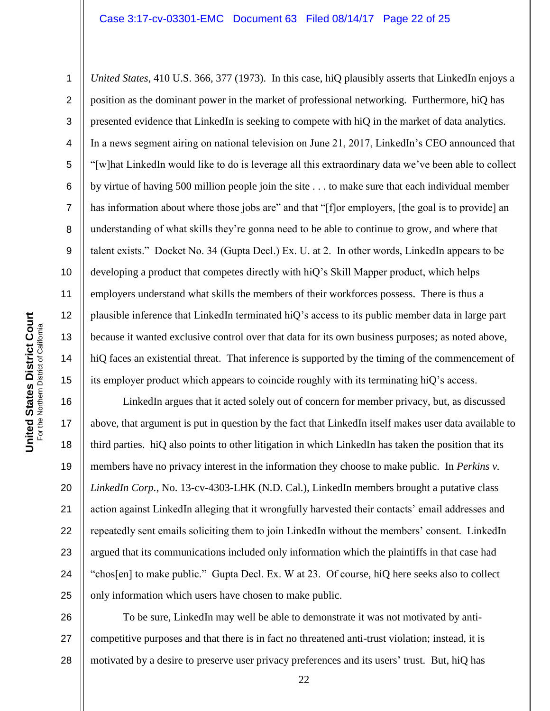*United States*, 410 U.S. 366, 377 (1973). In this case, hiQ plausibly asserts that LinkedIn enjoys a position as the dominant power in the market of professional networking. Furthermore, hiQ has presented evidence that LinkedIn is seeking to compete with hiQ in the market of data analytics. In a news segment airing on national television on June 21, 2017, LinkedIn"s CEO announced that "[w]hat LinkedIn would like to do is leverage all this extraordinary data we"ve been able to collect by virtue of having 500 million people join the site . . . to make sure that each individual member has information about where those jobs are" and that "[f]or employers, [the goal is to provide] an understanding of what skills they"re gonna need to be able to continue to grow, and where that talent exists." Docket No. 34 (Gupta Decl.) Ex. U. at 2. In other words, LinkedIn appears to be developing a product that competes directly with hiQ"s Skill Mapper product, which helps employers understand what skills the members of their workforces possess. There is thus a plausible inference that LinkedIn terminated hiQ"s access to its public member data in large part because it wanted exclusive control over that data for its own business purposes; as noted above, hiQ faces an existential threat. That inference is supported by the timing of the commencement of its employer product which appears to coincide roughly with its terminating hiQ"s access.

16 17 18 19 20 21 22 23 24 25 LinkedIn argues that it acted solely out of concern for member privacy, but, as discussed above, that argument is put in question by the fact that LinkedIn itself makes user data available to third parties. hiQ also points to other litigation in which LinkedIn has taken the position that its members have no privacy interest in the information they choose to make public. In *Perkins v. LinkedIn Corp.*, No. 13-cv-4303-LHK (N.D. Cal.), LinkedIn members brought a putative class action against LinkedIn alleging that it wrongfully harvested their contacts" email addresses and repeatedly sent emails soliciting them to join LinkedIn without the members" consent. LinkedIn argued that its communications included only information which the plaintiffs in that case had "chos[en] to make public." Gupta Decl. Ex. W at 23. Of course, hiQ here seeks also to collect only information which users have chosen to make public.

26 27 28 To be sure, LinkedIn may well be able to demonstrate it was not motivated by anticompetitive purposes and that there is in fact no threatened anti-trust violation; instead, it is motivated by a desire to preserve user privacy preferences and its users' trust. But, hiQ has

1

2

3

4

5

6

7

8

9

10

11

12

13

14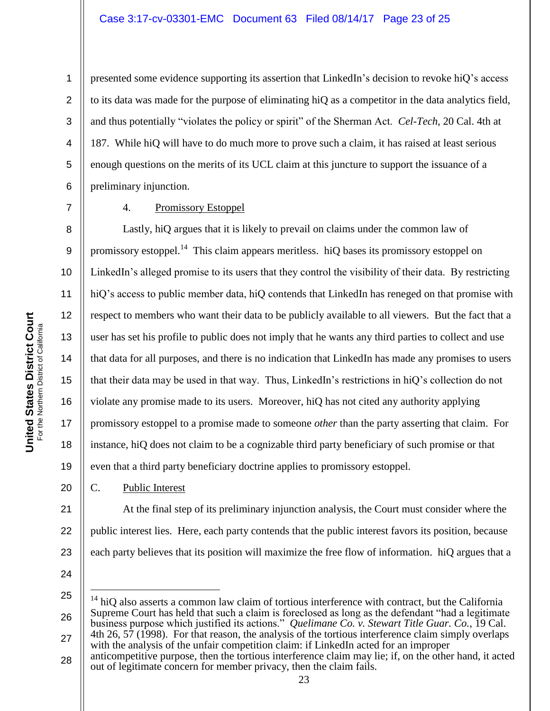presented some evidence supporting its assertion that LinkedIn"s decision to revoke hiQ"s access to its data was made for the purpose of eliminating hiQ as a competitor in the data analytics field, and thus potentially "violates the policy or spirit" of the Sherman Act. *Cel-Tech*, 20 Cal. 4th at 187. While hiQ will have to do much more to prove such a claim, it has raised at least serious enough questions on the merits of its UCL claim at this juncture to support the issuance of a preliminary injunction.

1

2

3

4

5

6

7

9

11

## 4. Promissory Estoppel

8 10 12 13 14 15 16 17 18 Lastly, hiQ argues that it is likely to prevail on claims under the common law of promissory estoppel.<sup>14</sup> This claim appears meritless. hiQ bases its promissory estoppel on LinkedIn"s alleged promise to its users that they control the visibility of their data. By restricting hiQ's access to public member data, hiQ contends that LinkedIn has reneged on that promise with respect to members who want their data to be publicly available to all viewers. But the fact that a user has set his profile to public does not imply that he wants any third parties to collect and use that data for all purposes, and there is no indication that LinkedIn has made any promises to users that their data may be used in that way. Thus, LinkedIn"s restrictions in hiQ"s collection do not violate any promise made to its users. Moreover, hiQ has not cited any authority applying promissory estoppel to a promise made to someone *other* than the party asserting that claim. For instance, hiQ does not claim to be a cognizable third party beneficiary of such promise or that even that a third party beneficiary doctrine applies to promissory estoppel.

## C. Public Interest

21 22 23 At the final step of its preliminary injunction analysis, the Court must consider where the public interest lies. Here, each party contends that the public interest favors its position, because each party believes that its position will maximize the free flow of information. hiQ argues that a

24

 $\overline{a}$ 

19

20

25 26  $14$  hiQ also asserts a common law claim of tortious interference with contract, but the California Supreme Court has held that such a claim is foreclosed as long as the defendant "had a legitimate business purpose which justified its actions." *Quelimane Co. v. Stewart Title Guar. Co.*, 19 Cal. 4th 26, 57 (1998). For that reason, the analysis of the tortious interference claim simply overlaps

- 27 with the analysis of the unfair competition claim: if LinkedIn acted for an improper anticompetitive purpose, then the tortious interference claim may lie; if, on the other hand, it acted
- 28 out of legitimate concern for member privacy, then the claim fails.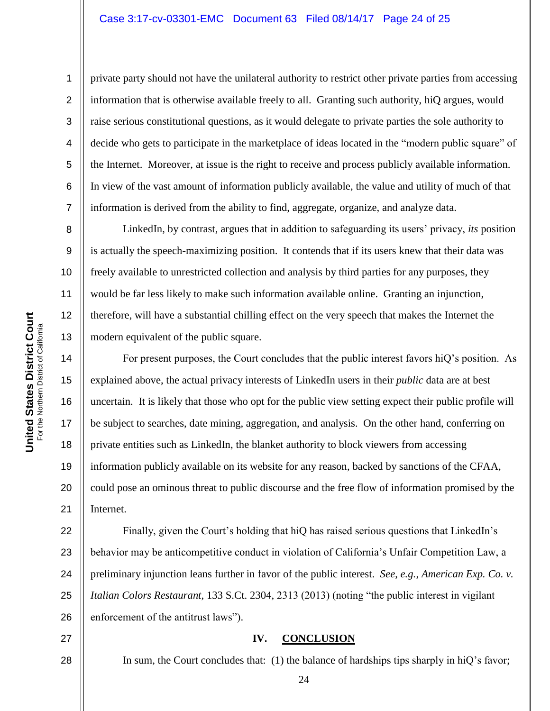private party should not have the unilateral authority to restrict other private parties from accessing information that is otherwise available freely to all. Granting such authority, hiQ argues, would raise serious constitutional questions, as it would delegate to private parties the sole authority to decide who gets to participate in the marketplace of ideas located in the "modern public square" of the Internet. Moreover, at issue is the right to receive and process publicly available information. In view of the vast amount of information publicly available, the value and utility of much of that information is derived from the ability to find, aggregate, organize, and analyze data.

LinkedIn, by contrast, argues that in addition to safeguarding its users" privacy, *its* position is actually the speech-maximizing position. It contends that if its users knew that their data was freely available to unrestricted collection and analysis by third parties for any purposes, they would be far less likely to make such information available online. Granting an injunction, therefore, will have a substantial chilling effect on the very speech that makes the Internet the modern equivalent of the public square.

For present purposes, the Court concludes that the public interest favors hiQ"s position. As explained above, the actual privacy interests of LinkedIn users in their *public* data are at best uncertain. It is likely that those who opt for the public view setting expect their public profile will be subject to searches, date mining, aggregation, and analysis. On the other hand, conferring on private entities such as LinkedIn, the blanket authority to block viewers from accessing information publicly available on its website for any reason, backed by sanctions of the CFAA, could pose an ominous threat to public discourse and the free flow of information promised by the Internet.

22 23 24 25 26 Finally, given the Court's holding that hiQ has raised serious questions that LinkedIn's behavior may be anticompetitive conduct in violation of California"s Unfair Competition Law, a preliminary injunction leans further in favor of the public interest. *See*, *e.g.*, *American Exp. Co. v. Italian Colors Restaurant*, 133 S.Ct. 2304, 2313 (2013) (noting "the public interest in vigilant enforcement of the antitrust laws").

#### **IV. CONCLUSION**

24

In sum, the Court concludes that: (1) the balance of hardships tips sharply in hiQ's favor;

United States District Court<br>For the Northern District Galifornia **United States District Court** For the Northern District of California 1

2

3

4

5

6

7

8

9

10

11

12

13

14

15

16

17

18

19

20

21

27